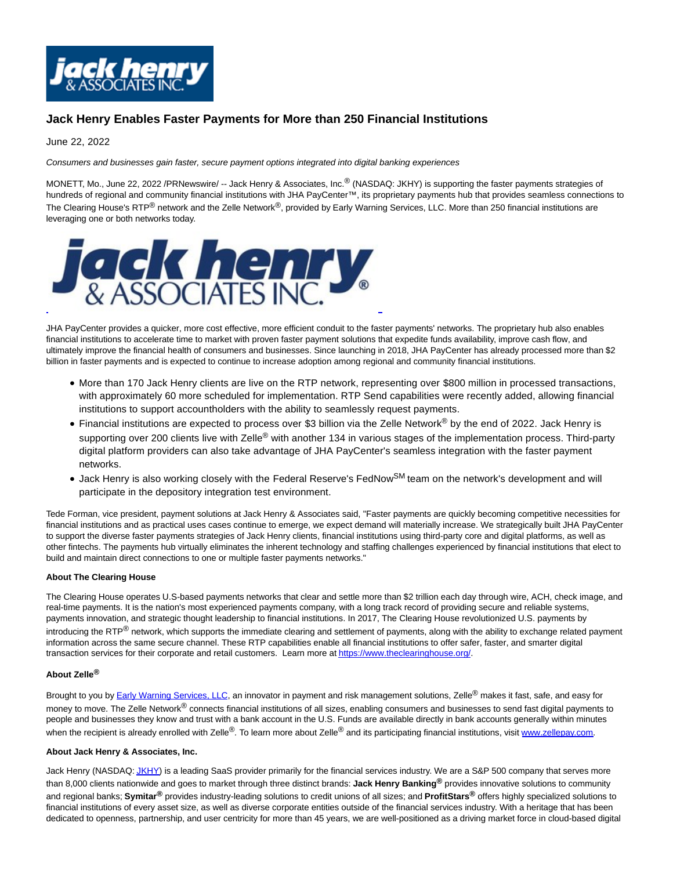

## **Jack Henry Enables Faster Payments for More than 250 Financial Institutions**

June 22, 2022

Consumers and businesses gain faster, secure payment options integrated into digital banking experiences

MONETT, Mo., June 22, 2022 /PRNewswire/ -- Jack Henry & Associates, Inc.® (NASDAQ: JKHY) is supporting the faster payments strategies of hundreds of regional and community financial institutions with JHA PayCenter™, its proprietary payments hub that provides seamless connections to The Clearing House's RTP<sup>®</sup> network and the Zelle Network<sup>®</sup>, provided by Early Warning Services, LLC. More than 250 financial institutions are leveraging one or both networks today.



JHA PayCenter provides a quicker, more cost effective, more efficient conduit to the faster payments' networks. The proprietary hub also enables financial institutions to accelerate time to market with proven faster payment solutions that expedite funds availability, improve cash flow, and ultimately improve the financial health of consumers and businesses. Since launching in 2018, JHA PayCenter has already processed more than \$2 billion in faster payments and is expected to continue to increase adoption among regional and community financial institutions.

- More than 170 Jack Henry clients are live on the RTP network, representing over \$800 million in processed transactions, with approximately 60 more scheduled for implementation. RTP Send capabilities were recently added, allowing financial institutions to support accountholders with the ability to seamlessly request payments.
- Financial institutions are expected to process over \$3 billion via the Zelle Network® by the end of 2022. Jack Henry is supporting over 200 clients live with Zelle<sup>®</sup> with another 134 in various stages of the implementation process. Third-party digital platform providers can also take advantage of JHA PayCenter's seamless integration with the faster payment networks.
- Jack Henry is also working closely with the Federal Reserve's FedNow<sup>SM</sup> team on the network's development and will participate in the depository integration test environment.

Tede Forman, vice president, payment solutions at Jack Henry & Associates said, "Faster payments are quickly becoming competitive necessities for financial institutions and as practical uses cases continue to emerge, we expect demand will materially increase. We strategically built JHA PayCenter to support the diverse faster payments strategies of Jack Henry clients, financial institutions using third-party core and digital platforms, as well as other fintechs. The payments hub virtually eliminates the inherent technology and staffing challenges experienced by financial institutions that elect to build and maintain direct connections to one or multiple faster payments networks."

## **About The Clearing House**

The Clearing House operates U.S-based payments networks that clear and settle more than \$2 trillion each day through wire, ACH, check image, and real-time payments. It is the nation's most experienced payments company, with a long track record of providing secure and reliable systems, payments innovation, and strategic thought leadership to financial institutions. In 2017, The Clearing House revolutionized U.S. payments by introducing the RTP<sup>®</sup> network, which supports the immediate clearing and settlement of payments, along with the ability to exchange related payment information across the same secure channel. These RTP capabilities enable all financial institutions to offer safer, faster, and smarter digital transaction services for their corporate and retail customers. Learn more a[t https://www.theclearinghouse.org/.](https://c212.net/c/link/?t=0&l=en&o=3573278-1&h=1930979982&u=https%3A%2F%2Fwww.theclearinghouse.org%2F&a=https%3A%2F%2Fwww.theclearinghouse.org%2F)

## **About Zelle®**

Brought to you b[y Early Warning Services, LLC,](https://c212.net/c/link/?t=0&l=en&o=3573278-1&h=3219257752&u=http%3A%2F%2Fwww.earlywarning.com%2F&a=Early+Warning+Services%2C+LLC) an innovator in payment and risk management solutions, Zelle<sup>®</sup> makes it fast, safe, and easy for money to move. The Zelle Network<sup>®</sup> connects financial institutions of all sizes, enabling consumers and businesses to send fast digital payments to people and businesses they know and trust with a bank account in the U.S. Funds are available directly in bank accounts generally within minutes when the recipient is already enrolled with Zelle®. To learn more about Zelle® and its participating financial institutions, visit [www.zellepay.com.](https://c212.net/c/link/?t=0&l=en&o=3573278-1&h=1158273729&u=http%3A%2F%2Fwww.zellepay.com%2F&a=www.zellepay.com)

## **About Jack Henry & Associates, Inc.**

Jack Henry (NASDAQ[: JKHY\)](https://c212.net/c/link/?t=0&l=en&o=3573278-1&h=2129068702&u=https%3A%2F%2Fwww.nasdaq.com%2Fmarket-activity%2Fstocks%2Fjkhy&a=JKHY) is a leading SaaS provider primarily for the financial services industry. We are a S&P 500 company that serves more than 8,000 clients nationwide and goes to market through three distinct brands: **Jack Henry Banking®** provides innovative solutions to community and regional banks; **Symitar®** provides industry-leading solutions to credit unions of all sizes; and **ProfitStars®** offers highly specialized solutions to financial institutions of every asset size, as well as diverse corporate entities outside of the financial services industry. With a heritage that has been dedicated to openness, partnership, and user centricity for more than 45 years, we are well-positioned as a driving market force in cloud-based digital